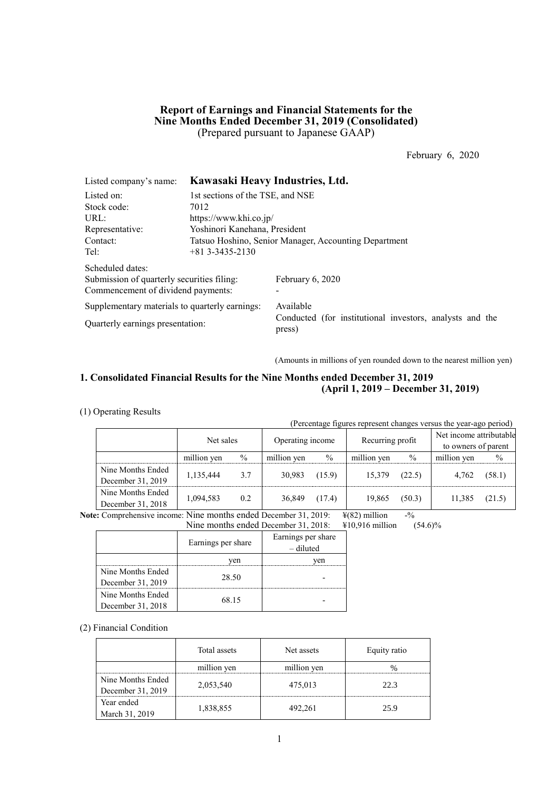## **Report of Earnings and Financial Statements for the Nine Months Ended December 31, 2019 (Consolidated)** (Prepared pursuant to Japanese GAAP)

February 6, 2020

| Listed company's name:                         | Kawasaki Heavy Industries, Ltd.                       |                                                                    |  |  |  |  |
|------------------------------------------------|-------------------------------------------------------|--------------------------------------------------------------------|--|--|--|--|
| Listed on:                                     | 1st sections of the TSE, and NSE                      |                                                                    |  |  |  |  |
| Stock code:                                    | 7012                                                  |                                                                    |  |  |  |  |
| URL:                                           | https://www.khi.co.jp/                                |                                                                    |  |  |  |  |
| Representative:                                | Yoshinori Kanehana, President                         |                                                                    |  |  |  |  |
| Contact:                                       | Tatsuo Hoshino, Senior Manager, Accounting Department |                                                                    |  |  |  |  |
| Tel:                                           | $+81$ 3-3435-2130                                     |                                                                    |  |  |  |  |
| Scheduled dates:                               |                                                       |                                                                    |  |  |  |  |
| Submission of quarterly securities filing:     |                                                       | February 6, 2020                                                   |  |  |  |  |
| Commencement of dividend payments:             |                                                       |                                                                    |  |  |  |  |
| Supplementary materials to quarterly earnings: |                                                       | Available                                                          |  |  |  |  |
| Quarterly earnings presentation:               |                                                       | Conducted (for institutional investors, analysts and the<br>press) |  |  |  |  |

(Amounts in millions of yen rounded down to the nearest million yen)

## **1. Consolidated Financial Results for the Nine Months ended December 31, 2019 (April 1, 2019 – December 31, 2019)**

### (1) Operating Results

(Percentage figures represent changes versus the year-ago period)

|                   | Net sales   |      | Operating income |        | Recurring profit |        | Net income attributable |               |
|-------------------|-------------|------|------------------|--------|------------------|--------|-------------------------|---------------|
|                   |             |      |                  |        |                  |        | to owners of parent     |               |
|                   | million yen | $\%$ | million yen      | $\%$   | million yen      | $\%$   | million yen             | $\frac{0}{0}$ |
| Nine Months Ended |             | 3.7  | 30.983           | (15.9) | 15.379           |        |                         |               |
| December 31, 2019 | 1,135,444   |      |                  |        |                  | (22.5) | 4,762                   | (58.1)        |
| Nine Months Ended |             | 0.2  | 36,849           |        |                  |        | 11.385                  |               |
| December 31, 2018 | 1,094,583   |      |                  | (17.4) | 19,865           | (50.3) |                         | (21.5)        |

**Note:** Comprehensive income: Nine months ended December 31, 2019:  $\frac{\Psi(82)}{\Psi(82)}$  million -%

Nine months ended December 31, 2018: ¥10,916 million (54.6)%

|                   | Earnings per share | Earnings per share<br>$-$ diluted |
|-------------------|--------------------|-----------------------------------|
|                   | ven                | ven                               |
| Nine Months Ended | 28.50              |                                   |
| December 31, 2019 |                    |                                   |
| Nine Months Ended |                    |                                   |
| December 31, 2018 | 68.15              |                                   |

(2) Financial Condition

|                   | Total assets | Net assets  | Equity ratio |
|-------------------|--------------|-------------|--------------|
|                   | million yen  | million yen |              |
| Nine Months Ended | 2,053,540    | 475,013     | 22.3         |
| December 31, 2019 |              |             |              |
| Year ended        | 1,838,855    | 492,261     | 25.9         |
| March 31, 2019    |              |             |              |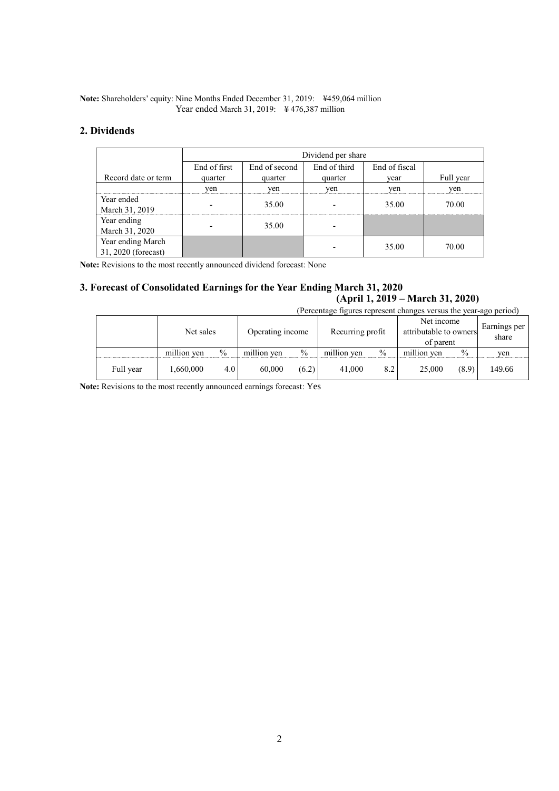### **Note:** Shareholders' equity: Nine Months Ended December 31, 2019: ¥459,064 million Year ended March 31, 2019: ¥ 476,387 million

## **2. Dividends**

|                                          | Dividend per share |               |              |               |           |  |  |  |
|------------------------------------------|--------------------|---------------|--------------|---------------|-----------|--|--|--|
|                                          | End of first       | End of second | End of third | End of fiscal |           |  |  |  |
| Record date or term                      | quarter            | quarter       | quarter      | vear          | Full year |  |  |  |
|                                          | yen                | yen           | yen          | yen           | yen       |  |  |  |
| Year ended<br>March 31, 2019             |                    | 35.00         |              | 35.00         | 70.00     |  |  |  |
| Year ending<br>March 31, 2020            |                    | 35.00         |              |               |           |  |  |  |
| Year ending March<br>31, 2020 (forecast) |                    |               |              | 35.00         | 70.00     |  |  |  |

**Note:** Revisions to the most recently announced dividend forecast: None

## **3. Forecast of Consolidated Earnings for the Year Ending March 31, 2020 (April 1, 2019 – March 31, 2020)**

|           | (Percentage figures represent changes versus the year-ago period) |      |                  |       |                  |               |                                                   |       |                       |  |
|-----------|-------------------------------------------------------------------|------|------------------|-------|------------------|---------------|---------------------------------------------------|-------|-----------------------|--|
|           | Net sales                                                         |      | Operating income |       | Recurring profit |               | Net income<br>attributable to owners<br>of parent |       | Earnings per<br>share |  |
|           | million yen                                                       | $\%$ | million yen      | $\%$  | million yen      | $\frac{0}{0}$ | million yen                                       | $\%$  | yen                   |  |
| Full year | 1,660,000                                                         | 4.0  | 60,000           | (6.2) | 41,000           | 8.2           | 25,000                                            | (8.9) | 149.66                |  |

**Note:** Revisions to the most recently announced earnings forecast: Yes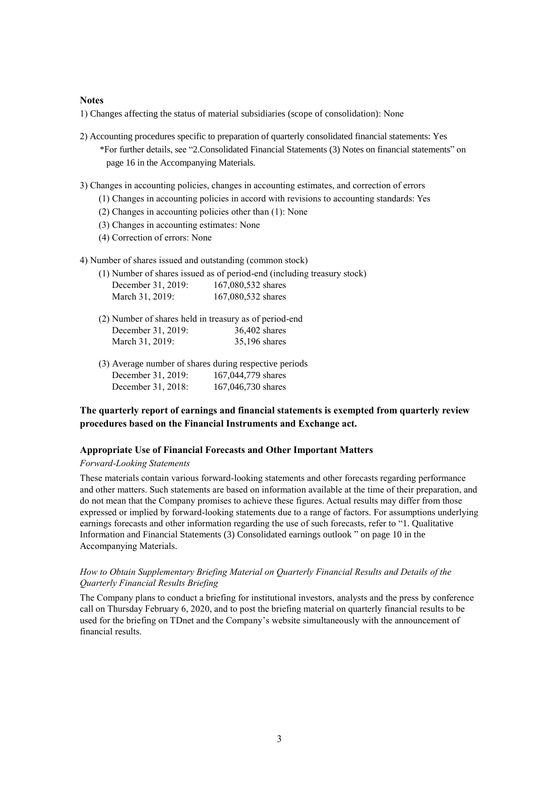### **Notes**

1) Changes affecting the status of material subsidiaries (scope of consolidation): None

- 2) Accounting procedures specific to preparation of quarterly consolidated financial statements: Yes \*For further details, see "2.Consolidated Financial Statements (3) Notes on financial statements" on page 16 in the Accompanying Materials.
- 3) Changes in accounting policies, changes in accounting estimates, and correction of errors
	- (1) Changes in accounting policies in accord with revisions to accounting standards: Yes
	- (2) Changes in accounting policies other than (1): None
	- (3) Changes in accounting estimates: None
	- (4) Correction of errors: None
- 4) Number of shares issued and outstanding (common stock)

|                    | (1) Number of shares issued as of period-end (including treasury stock) |
|--------------------|-------------------------------------------------------------------------|
| December 31, 2019: | 167,080,532 shares                                                      |
| March 31, 2019:    | 167,080,532 shares                                                      |

- (2) Number of shares held in treasury as of period-end December 31, 2019: 36,402 shares March 31, 2019: 35,196 shares
- (3) Average number of shares during respective periods December 31, 2019: 167,044,779 shares December 31, 2018: 167,046,730 shares

## **The quarterly report of earnings and financial statements is exempted from quarterly review procedures based on the Financial Instruments and Exchange act.**

#### **Appropriate Use of Financial Forecasts and Other Important Matters**

#### *Forward-Looking Statements*

These materials contain various forward-looking statements and other forecasts regarding performance and other matters. Such statements are based on information available at the time of their preparation, and do not mean that the Company promises to achieve these figures. Actual results may differ from those expressed or implied by forward-looking statements due to a range of factors. For assumptions underlying earnings forecasts and other information regarding the use of such forecasts, refer to "1. Qualitative Information and Financial Statements (3) Consolidated earnings outlook " on page 10 in the Accompanying Materials.

### *How to Obtain Supplementary Briefing Material on Quarterly Financial Results and Details of the Quarterly Financial Results Briefing*

The Company plans to conduct a briefing for institutional investors, analysts and the press by conference call on Thursday February 6, 2020, and to post the briefing material on quarterly financial results to be used for the briefing on TDnet and the Company's website simultaneously with the announcement of financial results.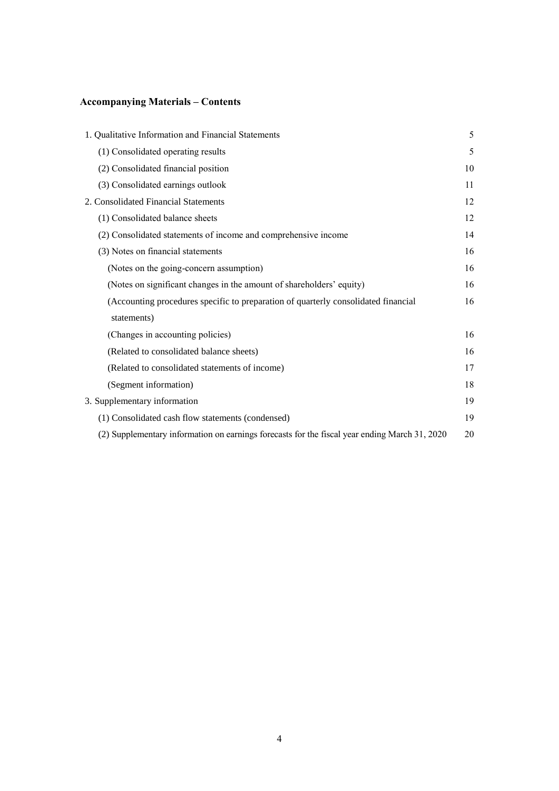# **Accompanying Materials – Contents**

| 1. Qualitative Information and Financial Statements                                           | 5  |
|-----------------------------------------------------------------------------------------------|----|
| (1) Consolidated operating results                                                            | 5  |
| (2) Consolidated financial position                                                           | 10 |
| (3) Consolidated earnings outlook                                                             | 11 |
| 2. Consolidated Financial Statements                                                          | 12 |
| (1) Consolidated balance sheets                                                               | 12 |
| (2) Consolidated statements of income and comprehensive income                                | 14 |
| (3) Notes on financial statements                                                             | 16 |
| (Notes on the going-concern assumption)                                                       | 16 |
| (Notes on significant changes in the amount of shareholders' equity)                          | 16 |
| (Accounting procedures specific to preparation of quarterly consolidated financial            | 16 |
| statements)                                                                                   |    |
| (Changes in accounting policies)                                                              | 16 |
| (Related to consolidated balance sheets)                                                      | 16 |
| (Related to consolidated statements of income)                                                | 17 |
| (Segment information)                                                                         | 18 |
| 3. Supplementary information                                                                  | 19 |
| (1) Consolidated cash flow statements (condensed)                                             | 19 |
| (2) Supplementary information on earnings forecasts for the fiscal year ending March 31, 2020 | 20 |
|                                                                                               |    |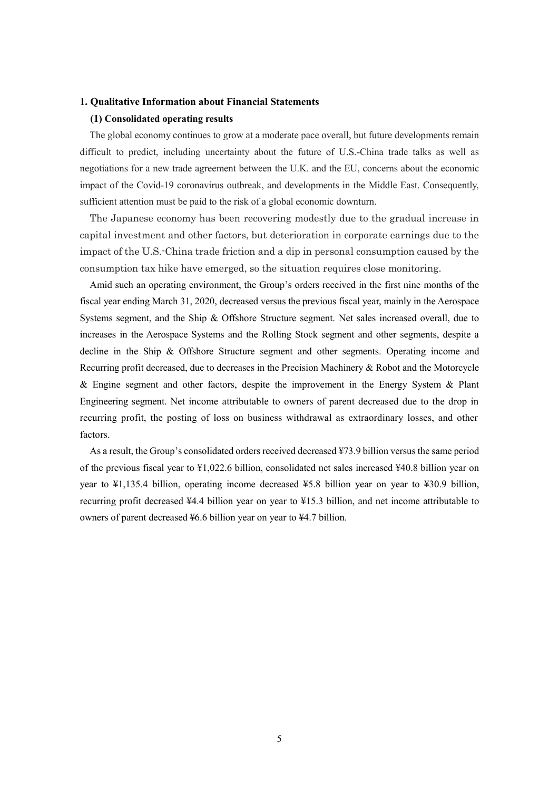### **1. Qualitative Information about Financial Statements**

### **(1) Consolidated operating results**

The global economy continues to grow at a moderate pace overall, but future developments remain difficult to predict, including uncertainty about the future of U.S.-China trade talks as well as negotiations for a new trade agreement between the U.K. and the EU, concerns about the economic impact of the Covid-19 coronavirus outbreak, and developments in the Middle East. Consequently, sufficient attention must be paid to the risk of a global economic downturn.

The Japanese economy has been recovering modestly due to the gradual increase in capital investment and other factors, but deterioration in corporate earnings due to the impact of the U.S.-China trade friction and a dip in personal consumption caused by the consumption tax hike have emerged, so the situation requires close monitoring.

Amid such an operating environment, the Group's orders received in the first nine months of the fiscal year ending March 31, 2020, decreased versus the previous fiscal year, mainly in the Aerospace Systems segment, and the Ship & Offshore Structure segment. Net sales increased overall, due to increases in the Aerospace Systems and the Rolling Stock segment and other segments, despite a decline in the Ship & Offshore Structure segment and other segments. Operating income and Recurring profit decreased, due to decreases in the Precision Machinery & Robot and the Motorcycle & Engine segment and other factors, despite the improvement in the Energy System & Plant Engineering segment. Net income attributable to owners of parent decreased due to the drop in recurring profit, the posting of loss on business withdrawal as extraordinary losses, and other factors.

As a result, the Group's consolidated orders received decreased ¥73.9 billion versus the same period of the previous fiscal year to ¥1,022.6 billion, consolidated net sales increased ¥40.8 billion year on year to ¥1,135.4 billion, operating income decreased ¥5.8 billion year on year to ¥30.9 billion, recurring profit decreased ¥4.4 billion year on year to ¥15.3 billion, and net income attributable to owners of parent decreased ¥6.6 billion year on year to ¥4.7 billion.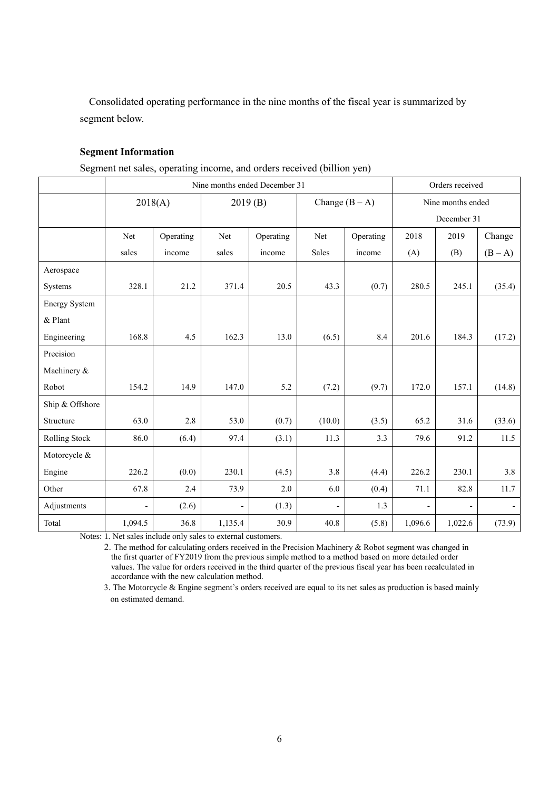Consolidated operating performance in the nine months of the fiscal year is summarized by segment below.

## **Segment Information**

|  | Segment net sales, operating income, and orders received (billion yen) |  |
|--|------------------------------------------------------------------------|--|
|  |                                                                        |  |

|                      | Nine months ended December 31 |           |         |           |                          |           |                | Orders received   |         |  |
|----------------------|-------------------------------|-----------|---------|-----------|--------------------------|-----------|----------------|-------------------|---------|--|
|                      |                               | 2018(A)   |         | 2019(B)   | Change $(B - A)$         |           |                | Nine months ended |         |  |
|                      |                               |           |         |           |                          |           |                | December 31       |         |  |
|                      | Net                           | Operating | Net     | Operating | Net                      | Operating | 2018           | 2019              | Change  |  |
|                      | sales                         | income    | sales   | income    | Sales                    | income    | (A)            | (B)               | $(B-A)$ |  |
| Aerospace            |                               |           |         |           |                          |           |                |                   |         |  |
| Systems              | 328.1                         | 21.2      | 371.4   | 20.5      | 43.3                     | (0.7)     | 280.5          | 245.1             | (35.4)  |  |
| <b>Energy System</b> |                               |           |         |           |                          |           |                |                   |         |  |
| & Plant              |                               |           |         |           |                          |           |                |                   |         |  |
| Engineering          | 168.8                         | 4.5       | 162.3   | 13.0      | (6.5)                    | 8.4       | 201.6          | 184.3             | (17.2)  |  |
| Precision            |                               |           |         |           |                          |           |                |                   |         |  |
| Machinery &          |                               |           |         |           |                          |           |                |                   |         |  |
| Robot                | 154.2                         | 14.9      | 147.0   | 5.2       | (7.2)                    | (9.7)     | 172.0          | 157.1             | (14.8)  |  |
| Ship & Offshore      |                               |           |         |           |                          |           |                |                   |         |  |
| Structure            | 63.0                          | 2.8       | 53.0    | (0.7)     | (10.0)                   | (3.5)     | 65.2           | 31.6              | (33.6)  |  |
| Rolling Stock        | 86.0                          | (6.4)     | 97.4    | (3.1)     | 11.3                     | 3.3       | 79.6           | 91.2              | 11.5    |  |
| Motorcycle &         |                               |           |         |           |                          |           |                |                   |         |  |
| Engine               | 226.2                         | (0.0)     | 230.1   | (4.5)     | 3.8                      | (4.4)     | 226.2          | 230.1             | 3.8     |  |
| Other                | 67.8                          | 2.4       | 73.9    | 2.0       | 6.0                      | (0.4)     | 71.1           | 82.8              | 11.7    |  |
| Adjustments          | $\overline{a}$                | (2.6)     |         | (1.3)     | $\overline{\phantom{0}}$ | 1.3       | $\overline{a}$ |                   |         |  |
| Total                | 1,094.5                       | 36.8      | 1,135.4 | 30.9      | 40.8                     | (5.8)     | 1,096.6        | 1,022.6           | (73.9)  |  |

Notes: 1. Net sales include only sales to external customers.

2. The method for calculating orders received in the Precision Machinery & Robot segment was changed in the first quarter of FY2019 from the previous simple method to a method based on more detailed order values. The value for orders received in the third quarter of the previous fiscal year has been recalculated in accordance with the new calculation method.

3. The Motorcycle & Engine segment's orders received are equal to its net sales as production is based mainly on estimated demand.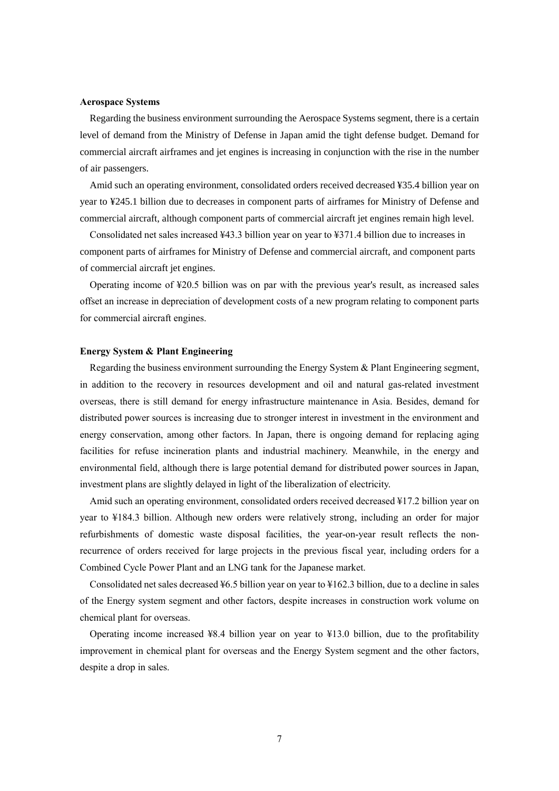#### **Aerospace Systems**

Regarding the business environment surrounding the Aerospace Systems segment, there is a certain level of demand from the Ministry of Defense in Japan amid the tight defense budget. Demand for commercial aircraft airframes and jet engines is increasing in conjunction with the rise in the number of air passengers.

Amid such an operating environment, consolidated orders received decreased ¥35.4 billion year on year to ¥245.1 billion due to decreases in component parts of airframes for Ministry of Defense and commercial aircraft, although component parts of commercial aircraft jet engines remain high level.

Consolidated net sales increased ¥43.3 billion year on year to ¥371.4 billion due to increases in component parts of airframes for Ministry of Defense and commercial aircraft, and component parts of commercial aircraft jet engines.

Operating income of ¥20.5 billion was on par with the previous year's result, as increased sales offset an increase in depreciation of development costs of a new program relating to component parts for commercial aircraft engines.

### **Energy System & Plant Engineering**

Regarding the business environment surrounding the Energy System & Plant Engineering segment, in addition to the recovery in resources development and oil and natural gas-related investment overseas, there is still demand for energy infrastructure maintenance in Asia. Besides, demand for distributed power sources is increasing due to stronger interest in investment in the environment and energy conservation, among other factors. In Japan, there is ongoing demand for replacing aging facilities for refuse incineration plants and industrial machinery. Meanwhile, in the energy and environmental field, although there is large potential demand for distributed power sources in Japan, investment plans are slightly delayed in light of the liberalization of electricity.

Amid such an operating environment, consolidated orders received decreased ¥17.2 billion year on year to ¥184.3 billion. Although new orders were relatively strong, including an order for major refurbishments of domestic waste disposal facilities, the year-on-year result reflects the nonrecurrence of orders received for large projects in the previous fiscal year, including orders for a Combined Cycle Power Plant and an LNG tank for the Japanese market.

Consolidated net sales decreased ¥6.5 billion year on year to ¥162.3 billion, due to a decline in sales of the Energy system segment and other factors, despite increases in construction work volume on chemical plant for overseas.

Operating income increased  $48.4$  billion year on year to  $413.0$  billion, due to the profitability improvement in chemical plant for overseas and the Energy System segment and the other factors, despite a drop in sales.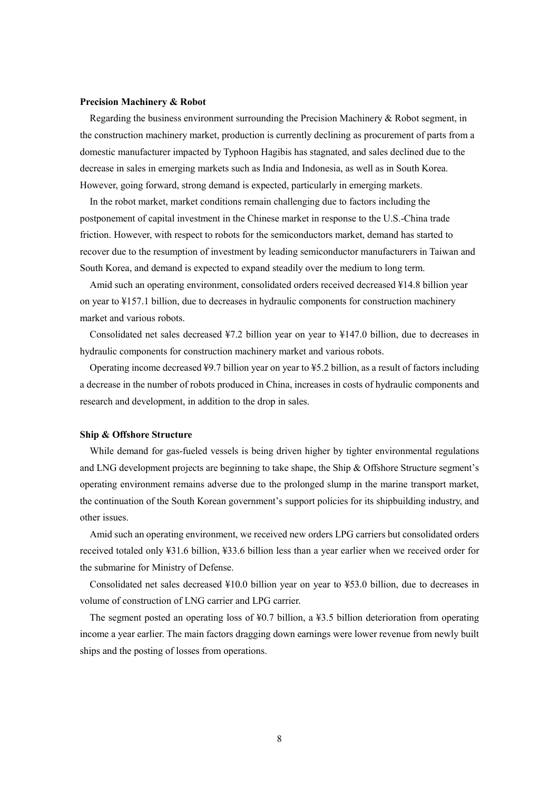#### **Precision Machinery & Robot**

Regarding the business environment surrounding the Precision Machinery & Robot segment, in the construction machinery market, production is currently declining as procurement of parts from a domestic manufacturer impacted by Typhoon Hagibis has stagnated, and sales declined due to the decrease in sales in emerging markets such as India and Indonesia, as well as in South Korea. However, going forward, strong demand is expected, particularly in emerging markets.

In the robot market, market conditions remain challenging due to factors including the postponement of capital investment in the Chinese market in response to the U.S.-China trade friction. However, with respect to robots for the semiconductors market, demand has started to recover due to the resumption of investment by leading semiconductor manufacturers in Taiwan and South Korea, and demand is expected to expand steadily over the medium to long term.

Amid such an operating environment, consolidated orders received decreased ¥14.8 billion year on year to ¥157.1 billion, due to decreases in hydraulic components for construction machinery market and various robots.

Consolidated net sales decreased ¥7.2 billion year on year to ¥147.0 billion, due to decreases in hydraulic components for construction machinery market and various robots.

Operating income decreased ¥9.7 billion year on year to ¥5.2 billion, as a result of factors including a decrease in the number of robots produced in China, increases in costs of hydraulic components and research and development, in addition to the drop in sales.

#### **Ship & Offshore Structure**

While demand for gas-fueled vessels is being driven higher by tighter environmental regulations and LNG development projects are beginning to take shape, the Ship & Offshore Structure segment's operating environment remains adverse due to the prolonged slump in the marine transport market, the continuation of the South Korean government's support policies for its shipbuilding industry, and other issues.

Amid such an operating environment, we received new orders LPG carriers but consolidated orders received totaled only ¥31.6 billion, ¥33.6 billion less than a year earlier when we received order for the submarine for Ministry of Defense.

Consolidated net sales decreased ¥10.0 billion year on year to ¥53.0 billion, due to decreases in volume of construction of LNG carrier and LPG carrier.

The segment posted an operating loss of ¥0.7 billion, a ¥3.5 billion deterioration from operating income a year earlier. The main factors dragging down earnings were lower revenue from newly built ships and the posting of losses from operations.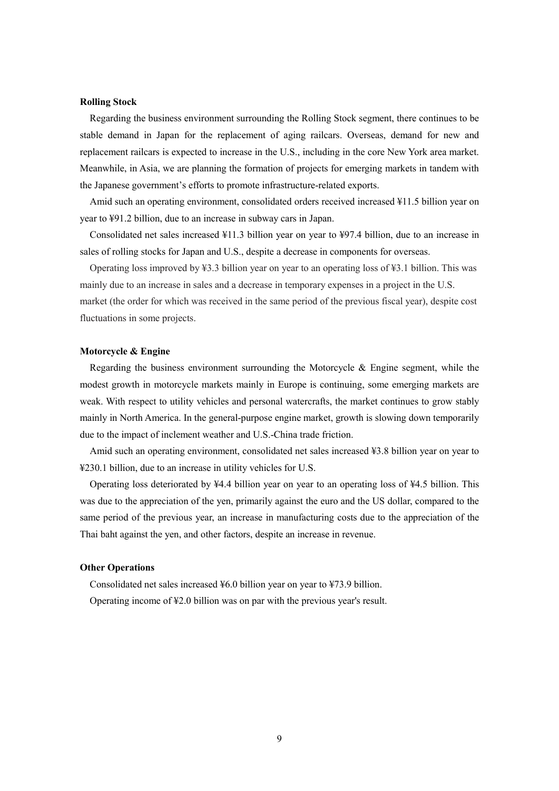#### **Rolling Stock**

Regarding the business environment surrounding the Rolling Stock segment, there continues to be stable demand in Japan for the replacement of aging railcars. Overseas, demand for new and replacement railcars is expected to increase in the U.S., including in the core New York area market. Meanwhile, in Asia, we are planning the formation of projects for emerging markets in tandem with the Japanese government's efforts to promote infrastructure-related exports.

Amid such an operating environment, consolidated orders received increased ¥11.5 billion year on year to ¥91.2 billion, due to an increase in subway cars in Japan.

Consolidated net sales increased ¥11.3 billion year on year to ¥97.4 billion, due to an increase in sales of rolling stocks for Japan and U.S., despite a decrease in components for overseas.

Operating loss improved by ¥3.3 billion year on year to an operating loss of ¥3.1 billion. This was mainly due to an increase in sales and a decrease in temporary expenses in a project in the U.S. market (the order for which was received in the same period of the previous fiscal year), despite cost fluctuations in some projects.

### **Motorcycle & Engine**

Regarding the business environment surrounding the Motorcycle  $\&$  Engine segment, while the modest growth in motorcycle markets mainly in Europe is continuing, some emerging markets are weak. With respect to utility vehicles and personal watercrafts, the market continues to grow stably mainly in North America. In the general-purpose engine market, growth is slowing down temporarily due to the impact of inclement weather and U.S.-China trade friction.

Amid such an operating environment, consolidated net sales increased ¥3.8 billion year on year to ¥230.1 billion, due to an increase in utility vehicles for U.S.

Operating loss deteriorated by ¥4.4 billion year on year to an operating loss of ¥4.5 billion. This was due to the appreciation of the yen, primarily against the euro and the US dollar, compared to the same period of the previous year, an increase in manufacturing costs due to the appreciation of the Thai baht against the yen, and other factors, despite an increase in revenue.

#### **Other Operations**

Consolidated net sales increased ¥6.0 billion year on year to ¥73.9 billion.

Operating income of ¥2.0 billion was on par with the previous year's result.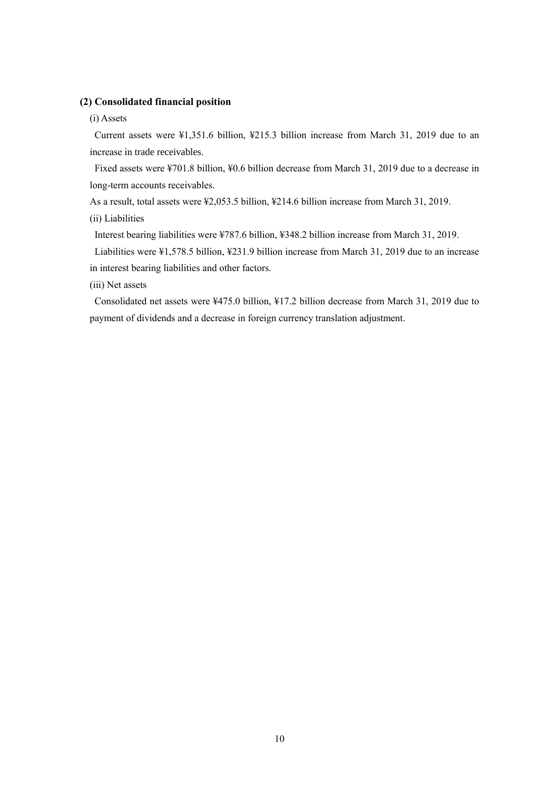### **(2) Consolidated financial position**

#### (i) Assets

Current assets were ¥1,351.6 billion, ¥215.3 billion increase from March 31, 2019 due to an increase in trade receivables.

Fixed assets were ¥701.8 billion, ¥0.6 billion decrease from March 31, 2019 due to a decrease in long-term accounts receivables.

As a result, total assets were ¥2,053.5 billion, ¥214.6 billion increase from March 31, 2019.

(ii) Liabilities

Interest bearing liabilities were ¥787.6 billion, ¥348.2 billion increase from March 31, 2019.

Liabilities were ¥1,578.5 billion, ¥231.9 billion increase from March 31, 2019 due to an increase in interest bearing liabilities and other factors.

(iii) Net assets

Consolidated net assets were ¥475.0 billion, ¥17.2 billion decrease from March 31, 2019 due to payment of dividends and a decrease in foreign currency translation adjustment.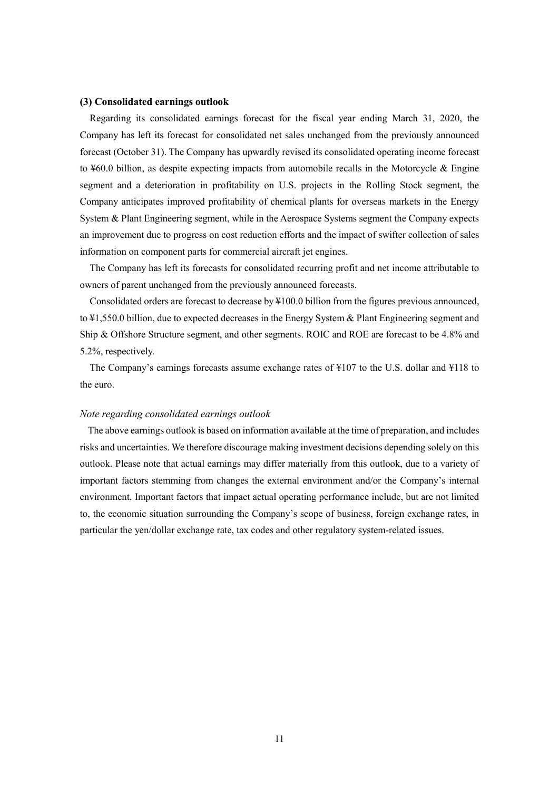### **(3) Consolidated earnings outlook**

Regarding its consolidated earnings forecast for the fiscal year ending March 31, 2020, the Company has left its forecast for consolidated net sales unchanged from the previously announced forecast (October 31). The Company has upwardly revised its consolidated operating income forecast to ¥60.0 billion, as despite expecting impacts from automobile recalls in the Motorcycle & Engine segment and a deterioration in profitability on U.S. projects in the Rolling Stock segment, the Company anticipates improved profitability of chemical plants for overseas markets in the Energy System & Plant Engineering segment, while in the Aerospace Systems segment the Company expects an improvement due to progress on cost reduction efforts and the impact of swifter collection of sales information on component parts for commercial aircraft jet engines.

The Company has left its forecasts for consolidated recurring profit and net income attributable to owners of parent unchanged from the previously announced forecasts.

Consolidated orders are forecast to decrease by ¥100.0 billion from the figures previous announced, to ¥1,550.0 billion, due to expected decreases in the Energy System & Plant Engineering segment and Ship & Offshore Structure segment, and other segments. ROIC and ROE are forecast to be 4.8% and 5.2%, respectively.

The Company's earnings forecasts assume exchange rates of ¥107 to the U.S. dollar and ¥118 to the euro.

#### *Note regarding consolidated earnings outlook*

The above earnings outlook is based on information available at the time of preparation, and includes risks and uncertainties. We therefore discourage making investment decisions depending solely on this outlook. Please note that actual earnings may differ materially from this outlook, due to a variety of important factors stemming from changes the external environment and/or the Company's internal environment. Important factors that impact actual operating performance include, but are not limited to, the economic situation surrounding the Company's scope of business, foreign exchange rates, in particular the yen/dollar exchange rate, tax codes and other regulatory system-related issues.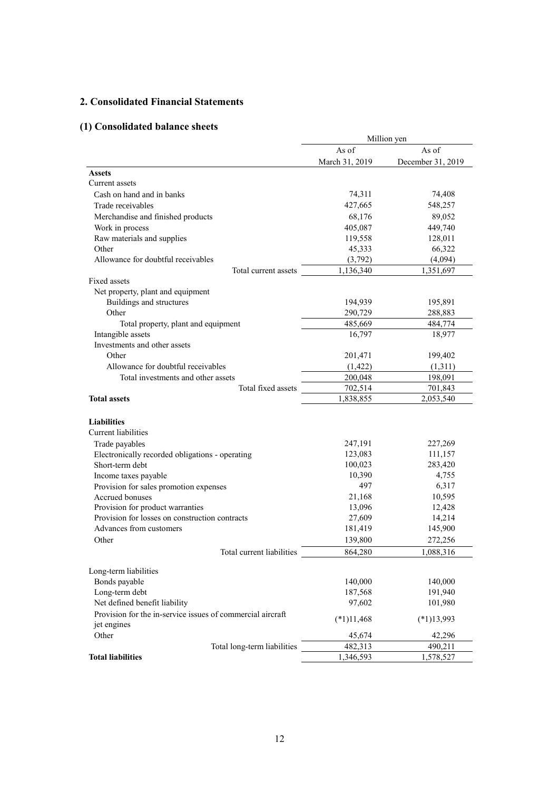## **2. Consolidated Financial Statements**

# **(1) Consolidated balance sheets**

|                                                            | Million yen    |                   |  |
|------------------------------------------------------------|----------------|-------------------|--|
|                                                            | As of          | As of             |  |
|                                                            | March 31, 2019 | December 31, 2019 |  |
| Assets                                                     |                |                   |  |
| Current assets                                             |                |                   |  |
| Cash on hand and in banks                                  | 74,311         | 74,408            |  |
| Trade receivables                                          | 427,665        | 548,257           |  |
| Merchandise and finished products                          | 68,176         | 89,052            |  |
| Work in process                                            | 405,087        | 449,740           |  |
| Raw materials and supplies                                 | 119,558        | 128,011           |  |
| Other                                                      | 45,333         | 66,322            |  |
| Allowance for doubtful receivables                         | (3,792)        | (4,094)           |  |
| Total current assets                                       | 1,136,340      | 1,351,697         |  |
| Fixed assets                                               |                |                   |  |
| Net property, plant and equipment                          |                |                   |  |
| Buildings and structures                                   | 194,939        | 195,891           |  |
| Other                                                      | 290,729        | 288,883           |  |
| Total property, plant and equipment                        | 485,669        | 484,774           |  |
| Intangible assets                                          | 16,797         | 18,977            |  |
| Investments and other assets                               |                |                   |  |
| Other                                                      | 201,471        | 199,402           |  |
| Allowance for doubtful receivables                         | (1, 422)       | (1,311)           |  |
| Total investments and other assets                         | 200,048        | 198,091           |  |
| Total fixed assets                                         | 702,514        | 701,843           |  |
| <b>Total assets</b>                                        | 1,838,855      | 2,053,540         |  |
|                                                            |                |                   |  |
| <b>Liabilities</b>                                         |                |                   |  |
| Current liabilities                                        |                |                   |  |
| Trade payables                                             | 247,191        | 227,269           |  |
| Electronically recorded obligations - operating            | 123,083        | 111,157           |  |
| Short-term debt                                            | 100,023        | 283,420           |  |
| Income taxes payable                                       | 10,390         | 4,755             |  |
| Provision for sales promotion expenses                     | 497            | 6,317             |  |
| Accrued bonuses                                            | 21,168         | 10,595            |  |
| Provision for product warranties                           | 13,096         | 12,428            |  |
| Provision for losses on construction contracts             | 27,609         | 14,214            |  |
| Advances from customers                                    | 181,419        | 145,900           |  |
| Other                                                      | 139,800        | 272,256           |  |
| Total current liabilities                                  | 864,280        | 1,088,316         |  |
|                                                            |                |                   |  |
| Long-term liabilities                                      |                |                   |  |
| Bonds payable                                              | 140,000        | 140,000           |  |
| Long-term debt                                             | 187,568        | 191,940           |  |
| Net defined benefit liability                              | 97,602         | 101,980           |  |
| Provision for the in-service issues of commercial aircraft |                |                   |  |
| jet engines                                                | $(*1)11,468$   | $(*1)13,993$      |  |
| Other                                                      | 45,674         | 42,296            |  |
| Total long-term liabilities                                | 482,313        | 490,211           |  |
| <b>Total liabilities</b>                                   | 1,346,593      | 1,578,527         |  |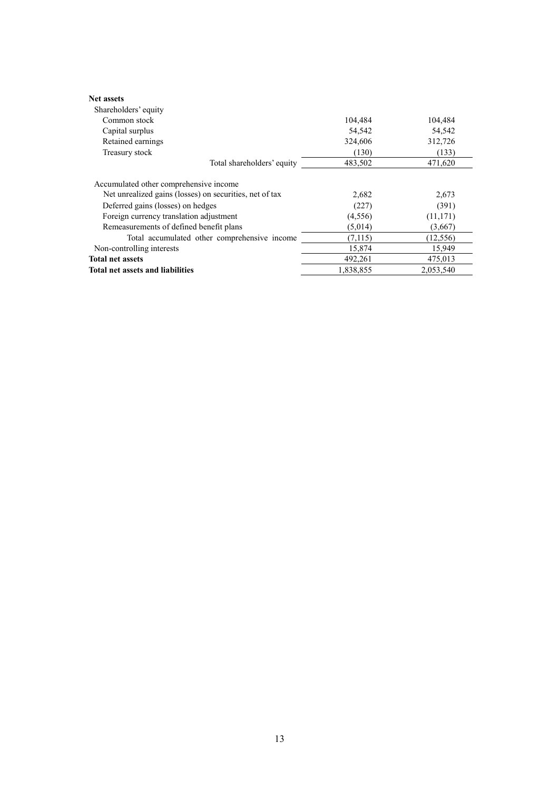| <b>Net assets</b>                                       |           |           |
|---------------------------------------------------------|-----------|-----------|
| Shareholders' equity                                    |           |           |
| Common stock                                            | 104,484   | 104,484   |
| Capital surplus                                         | 54,542    | 54,542    |
| Retained earnings                                       | 324,606   | 312,726   |
| Treasury stock                                          | (130)     | (133)     |
| Total shareholders' equity                              | 483,502   | 471,620   |
| Accumulated other comprehensive income                  |           |           |
| Net unrealized gains (losses) on securities, net of tax | 2,682     | 2,673     |
| Deferred gains (losses) on hedges                       | (227)     | (391)     |
| Foreign currency translation adjustment                 | (4,556)   | (11, 171) |
| Remeasurements of defined benefit plans                 | (5,014)   | (3,667)   |
| Total accumulated other comprehensive income            | (7,115)   | (12, 556) |
| Non-controlling interests                               | 15,874    | 15,949    |
| <b>Total net assets</b>                                 | 492,261   | 475,013   |
| <b>Total net assets and liabilities</b>                 | 1.838.855 | 2.053.540 |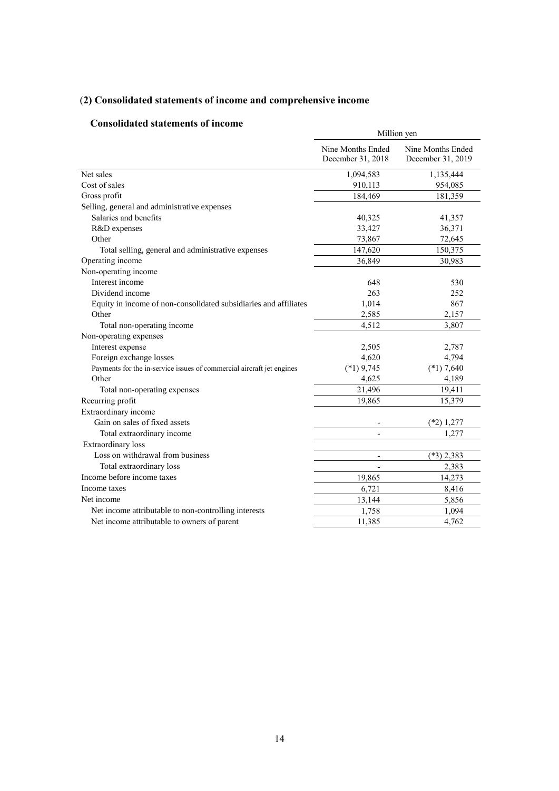# (**2) Consolidated statements of income and comprehensive income**

## **Consolidated statements of income**

|                                                                       | Million yen                            |                                        |
|-----------------------------------------------------------------------|----------------------------------------|----------------------------------------|
|                                                                       | Nine Months Ended<br>December 31, 2018 | Nine Months Ended<br>December 31, 2019 |
| Net sales                                                             | 1,094,583                              | 1,135,444                              |
| Cost of sales                                                         | 910,113                                | 954,085                                |
| Gross profit                                                          | 184,469                                | 181,359                                |
| Selling, general and administrative expenses                          |                                        |                                        |
| Salaries and benefits                                                 | 40,325                                 | 41,357                                 |
| R&D expenses                                                          | 33,427                                 | 36,371                                 |
| Other                                                                 | 73,867                                 | 72,645                                 |
| Total selling, general and administrative expenses                    | 147,620                                | 150,375                                |
| Operating income                                                      | 36,849                                 | 30,983                                 |
| Non-operating income                                                  |                                        |                                        |
| Interest income                                                       | 648                                    | 530                                    |
| Dividend income                                                       | 263                                    | 252                                    |
| Equity in income of non-consolidated subsidiaries and affiliates      | 1,014                                  | 867                                    |
| Other                                                                 | 2,585                                  | 2,157                                  |
| Total non-operating income                                            | 4,512                                  | 3,807                                  |
| Non-operating expenses                                                |                                        |                                        |
| Interest expense                                                      | 2,505                                  | 2,787                                  |
| Foreign exchange losses                                               | 4,620                                  | 4,794                                  |
| Payments for the in-service issues of commercial aircraft jet engines | $(*1)$ 9,745                           | $(*1)$ 7,640                           |
| Other                                                                 | 4,625                                  | 4,189                                  |
| Total non-operating expenses                                          | 21,496                                 | 19,411                                 |
| Recurring profit                                                      | 19,865                                 | 15,379                                 |
| Extraordinary income                                                  |                                        |                                        |
| Gain on sales of fixed assets                                         |                                        | $(*2)$ 1,277                           |
| Total extraordinary income                                            |                                        | 1,277                                  |
| <b>Extraordinary</b> loss                                             |                                        |                                        |
| Loss on withdrawal from business                                      | $\overline{\phantom{m}}$               | $(*3)$ 2,383                           |
| Total extraordinary loss                                              | $\overline{\phantom{a}}$               | 2,383                                  |
| Income before income taxes                                            | 19,865                                 | 14,273                                 |
| Income taxes                                                          | 6,721                                  | 8,416                                  |
| Net income                                                            | 13,144                                 | 5,856                                  |
| Net income attributable to non-controlling interests                  | 1,758                                  | 1,094                                  |
| Net income attributable to owners of parent                           | 11,385                                 | 4,762                                  |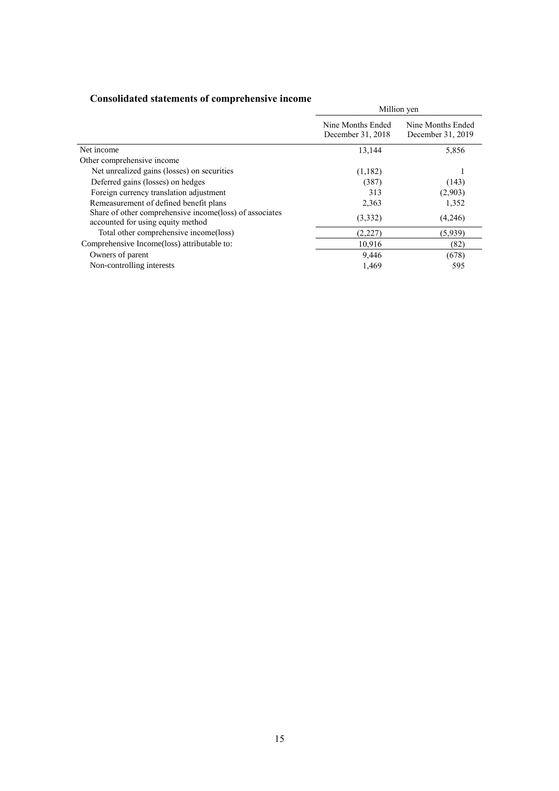| Consonance succinents of comprenensive income                                                |                                        | Million yen                            |
|----------------------------------------------------------------------------------------------|----------------------------------------|----------------------------------------|
|                                                                                              | Nine Months Ended<br>December 31, 2018 | Nine Months Ended<br>December 31, 2019 |
| Net income                                                                                   | 13,144                                 | 5,856                                  |
| Other comprehensive income                                                                   |                                        |                                        |
| Net unrealized gains (losses) on securities                                                  | (1,182)                                |                                        |
| Deferred gains (losses) on hedges                                                            | (387)                                  | (143)                                  |
| Foreign currency translation adjustment                                                      | 313                                    | (2,903)                                |
| Remeasurement of defined benefit plans                                                       | 2,363                                  | 1,352                                  |
| Share of other comprehensive income(loss) of associates<br>accounted for using equity method | (3,332)                                | (4,246)                                |
| Total other comprehensive income(loss)                                                       | (2,227)                                | (5,939)                                |
| Comprehensive Income(loss) attributable to:                                                  | 10,916                                 | (82)                                   |
| Owners of parent                                                                             | 9,446                                  | (678)                                  |
| Non-controlling interests                                                                    | 1,469                                  | 595                                    |

## **Consolidated statements of comprehensive income**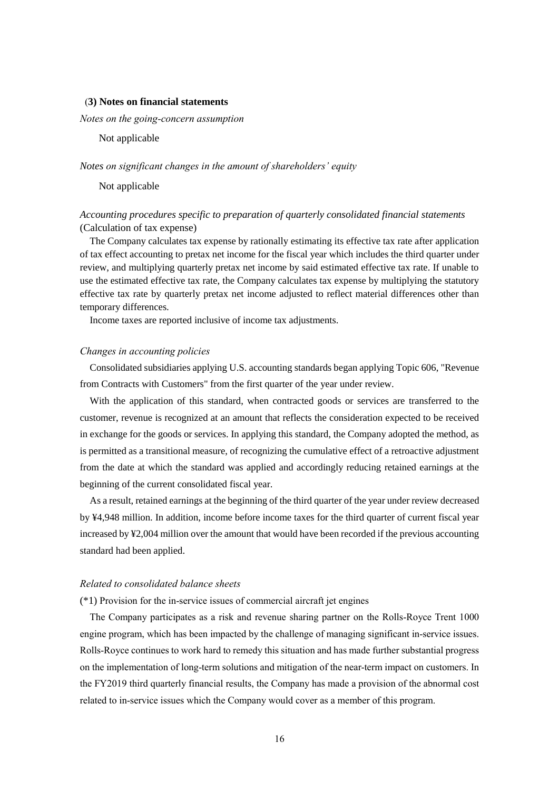#### (**3) Notes on financial statements**

*Notes on the going-concern assumption* 

Not applicable

#### *Notes on significant changes in the amount of shareholders' equity*

Not applicable

## *Accounting procedures specific to preparation of quarterly consolidated financial statements* (Calculation of tax expense)

The Company calculates tax expense by rationally estimating its effective tax rate after application of tax effect accounting to pretax net income for the fiscal year which includes the third quarter under review, and multiplying quarterly pretax net income by said estimated effective tax rate. If unable to use the estimated effective tax rate, the Company calculates tax expense by multiplying the statutory effective tax rate by quarterly pretax net income adjusted to reflect material differences other than temporary differences.

Income taxes are reported inclusive of income tax adjustments.

### *Changes in accounting policies*

Consolidated subsidiaries applying U.S. accounting standards began applying Topic 606, "Revenue from Contracts with Customers" from the first quarter of the year under review.

With the application of this standard, when contracted goods or services are transferred to the customer, revenue is recognized at an amount that reflects the consideration expected to be received in exchange for the goods or services. In applying this standard, the Company adopted the method, as is permitted as a transitional measure, of recognizing the cumulative effect of a retroactive adjustment from the date at which the standard was applied and accordingly reducing retained earnings at the beginning of the current consolidated fiscal year.

As a result, retained earnings at the beginning of the third quarter of the year under review decreased by ¥4,948 million. In addition, income before income taxes for the third quarter of current fiscal year increased by ¥2,004 million over the amount that would have been recorded if the previous accounting standard had been applied.

#### *Related to consolidated balance sheets*

(\*1) Provision for the in-service issues of commercial aircraft jet engines

The Company participates as a risk and revenue sharing partner on the Rolls-Royce Trent 1000 engine program, which has been impacted by the challenge of managing significant in-service issues. Rolls-Royce continues to work hard to remedy this situation and has made further substantial progress on the implementation of long-term solutions and mitigation of the near-term impact on customers. In the FY2019 third quarterly financial results, the Company has made a provision of the abnormal cost related to in-service issues which the Company would cover as a member of this program.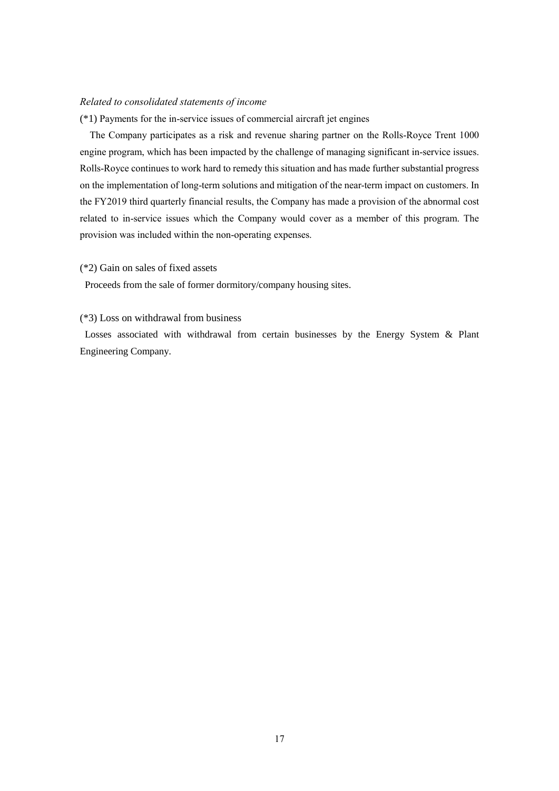## *Related to consolidated statements of income*

(\*1) Payments for the in-service issues of commercial aircraft jet engines

The Company participates as a risk and revenue sharing partner on the Rolls-Royce Trent 1000 engine program, which has been impacted by the challenge of managing significant in-service issues. Rolls-Royce continues to work hard to remedy this situation and has made further substantial progress on the implementation of long-term solutions and mitigation of the near-term impact on customers. In the FY2019 third quarterly financial results, the Company has made a provision of the abnormal cost related to in-service issues which the Company would cover as a member of this program. The provision was included within the non-operating expenses.

#### (\*2) Gain on sales of fixed assets

Proceeds from the sale of former dormitory/company housing sites.

### (\*3) Loss on withdrawal from business

Losses associated with withdrawal from certain businesses by the Energy System & Plant Engineering Company.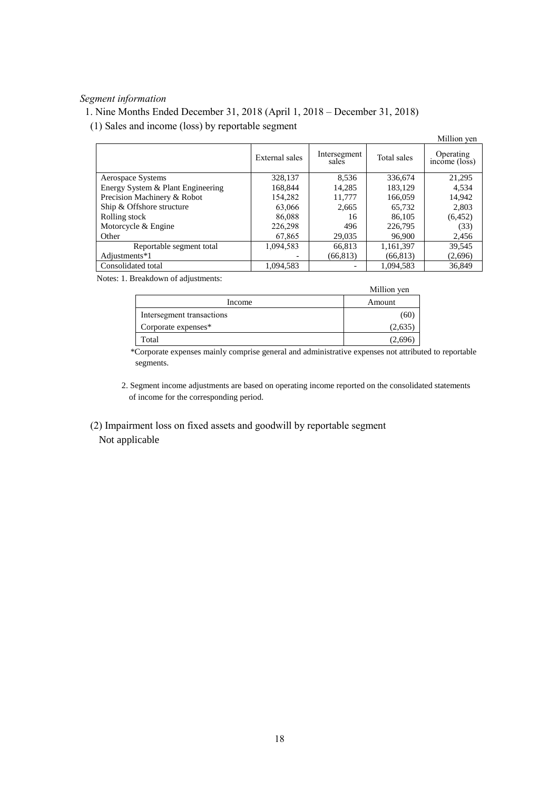## *Segment information*

1. Nine Months Ended December 31, 2018 (April 1, 2018 – December 31, 2018)

(1) Sales and income (loss) by reportable segment

|                                   |                |                       |             | Million yen                |
|-----------------------------------|----------------|-----------------------|-------------|----------------------------|
|                                   | External sales | Intersegment<br>sales | Total sales | Operating<br>income (loss) |
| Aerospace Systems                 | 328,137        | 8.536                 | 336,674     | 21,295                     |
| Energy System & Plant Engineering | 168,844        | 14,285                | 183.129     | 4.534                      |
| Precision Machinery & Robot       | 154,282        | 11,777                | 166,059     | 14.942                     |
| Ship & Offshore structure         | 63,066         | 2.665                 | 65.732      | 2,803                      |
| Rolling stock                     | 86,088         | 16                    | 86,105      | (6, 452)                   |
| Motorcycle & Engine               | 226,298        | 496                   | 226,795     | (33)                       |
| Other                             | 67,865         | 29,035                | 96,900      | 2,456                      |
| Reportable segment total          | 1,094,583      | 66,813                | 1,161,397   | 39.545                     |
| Adjustments*1                     |                | (66, 813)             | (66, 813)   | (2,696)                    |
| Consolidated total                | 1.094.583      |                       | 1.094.583   | 36,849                     |

Notes: 1. Breakdown of adjustments:

|                           | Million yen |
|---------------------------|-------------|
| Income                    | Amount      |
| Intersegment transactions | ιοι         |
| Corporate expenses*       | (2,635      |
| Total                     | 2.69        |

\*Corporate expenses mainly comprise general and administrative expenses not attributed to reportable segments.

2. Segment income adjustments are based on operating income reported on the consolidated statements of income for the corresponding period.

 (2) Impairment loss on fixed assets and goodwill by reportable segment Not applicable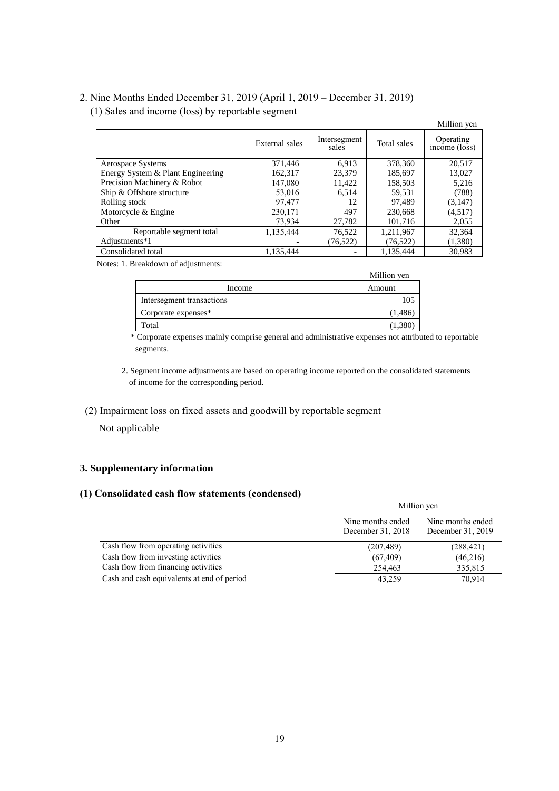## 2. Nine Months Ended December 31, 2019 (April 1, 2019 – December 31, 2019)

(1) Sales and income (loss) by reportable segment

|                                   |                |                       |             | Million yen                |
|-----------------------------------|----------------|-----------------------|-------------|----------------------------|
|                                   | External sales | Intersegment<br>sales | Total sales | Operating<br>income (loss) |
| Aerospace Systems                 | 371,446        | 6.913                 | 378,360     | 20.517                     |
| Energy System & Plant Engineering | 162.317        | 23,379                | 185,697     | 13,027                     |
| Precision Machinery & Robot       | 147,080        | 11,422                | 158,503     | 5,216                      |
| Ship & Offshore structure         | 53,016         | 6.514                 | 59,531      | (788)                      |
| Rolling stock                     | 97.477         | 12                    | 97.489      | (3,147)                    |
| Motorcycle & Engine               | 230,171        | 497                   | 230,668     | (4,517)                    |
| Other                             | 73,934         | 27,782                | 101,716     | 2,055                      |
| Reportable segment total          | 1,135,444      | 76,522                | 1,211,967   | 32,364                     |
| Adjustments*1                     |                | (76, 522)             | (76, 522)   | (1,380)                    |
| Consolidated total                | 1.135.444      |                       | 1.135.444   | 30.983                     |

Notes: 1. Breakdown of adjustments:

|                           | Million yen |
|---------------------------|-------------|
| Income                    | Amount      |
| Intersegment transactions | 105         |
| Corporate expenses*       | (1,486      |
| Total                     | (1.38)      |

\* Corporate expenses mainly comprise general and administrative expenses not attributed to reportable segments.

2. Segment income adjustments are based on operating income reported on the consolidated statements of income for the corresponding period.

## (2) Impairment loss on fixed assets and goodwill by reportable segment

Not applicable

## **3. Supplementary information**

## **(1) Consolidated cash flow statements (condensed)**

|                                            |                                        | Million yen                            |  |  |
|--------------------------------------------|----------------------------------------|----------------------------------------|--|--|
|                                            | Nine months ended<br>December 31, 2018 | Nine months ended<br>December 31, 2019 |  |  |
| Cash flow from operating activities        | (207, 489)                             | (288, 421)                             |  |  |
| Cash flow from investing activities        | (67, 409)                              | (46,216)                               |  |  |
| Cash flow from financing activities        | 254,463                                | 335,815                                |  |  |
| Cash and cash equivalents at end of period | 43,259                                 | 70,914                                 |  |  |